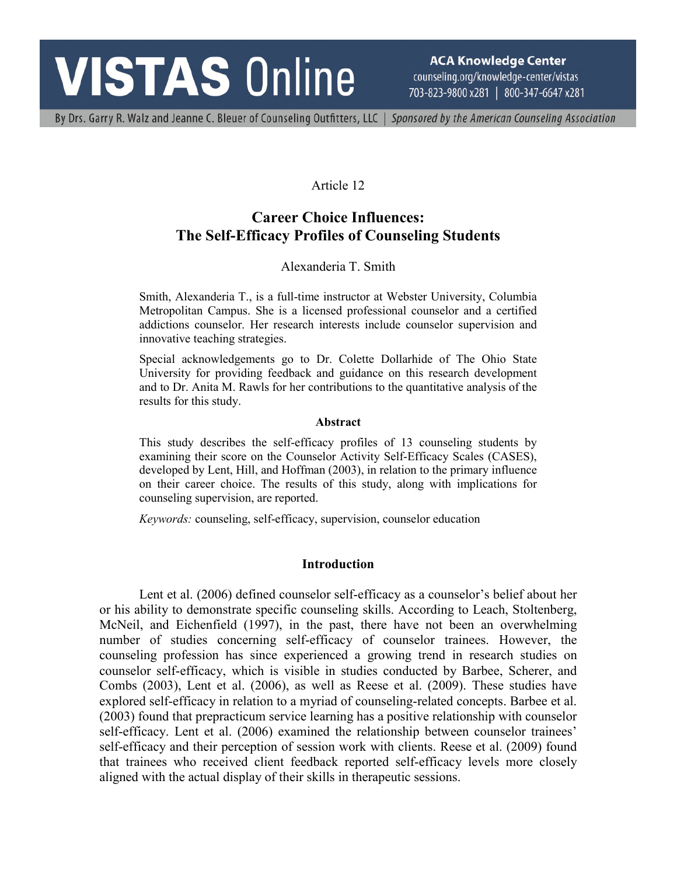# **VISTAS Online**

**ACA Knowledge Center** counseling.org/knowledge-center/vistas 703-823-9800 x281 | 800-347-6647 x281

By Drs. Garry R. Walz and Jeanne C. Bleuer of Counseling Outfitters, LLC | Sponsored by the American Counseling Association

## Article 12

## **Career Choice Influences: The Self-Efficacy Profiles of Counseling Students**

## Alexanderia T. Smith

Smith, Alexanderia T., is a full-time instructor at Webster University, Columbia Metropolitan Campus. She is a licensed professional counselor and a certified addictions counselor. Her research interests include counselor supervision and innovative teaching strategies.

Special acknowledgements go to Dr. Colette Dollarhide of The Ohio State University for providing feedback and guidance on this research development and to Dr. Anita M. Rawls for her contributions to the quantitative analysis of the results for this study.

#### **Abstract**

This study describes the self-efficacy profiles of 13 counseling students by examining their score on the Counselor Activity Self-Efficacy Scales (CASES), developed by Lent, Hill, and Hoffman (2003), in relation to the primary influence on their career choice. The results of this study, along with implications for counseling supervision, are reported.

*Keywords:* counseling, self-efficacy, supervision, counselor education

## **Introduction**

Lent et al. (2006) defined counselor self-efficacy as a counselor's belief about her or his ability to demonstrate specific counseling skills. According to Leach, Stoltenberg, McNeil, and Eichenfield (1997), in the past, there have not been an overwhelming number of studies concerning self-efficacy of counselor trainees. However, the counseling profession has since experienced a growing trend in research studies on counselor self-efficacy, which is visible in studies conducted by Barbee, Scherer, and Combs (2003), Lent et al. (2006), as well as Reese et al. (2009). These studies have explored self-efficacy in relation to a myriad of counseling-related concepts. Barbee et al. (2003) found that prepracticum service learning has a positive relationship with counselor self-efficacy. Lent et al. (2006) examined the relationship between counselor trainees' self-efficacy and their perception of session work with clients. Reese et al. (2009) found that trainees who received client feedback reported self-efficacy levels more closely aligned with the actual display of their skills in therapeutic sessions.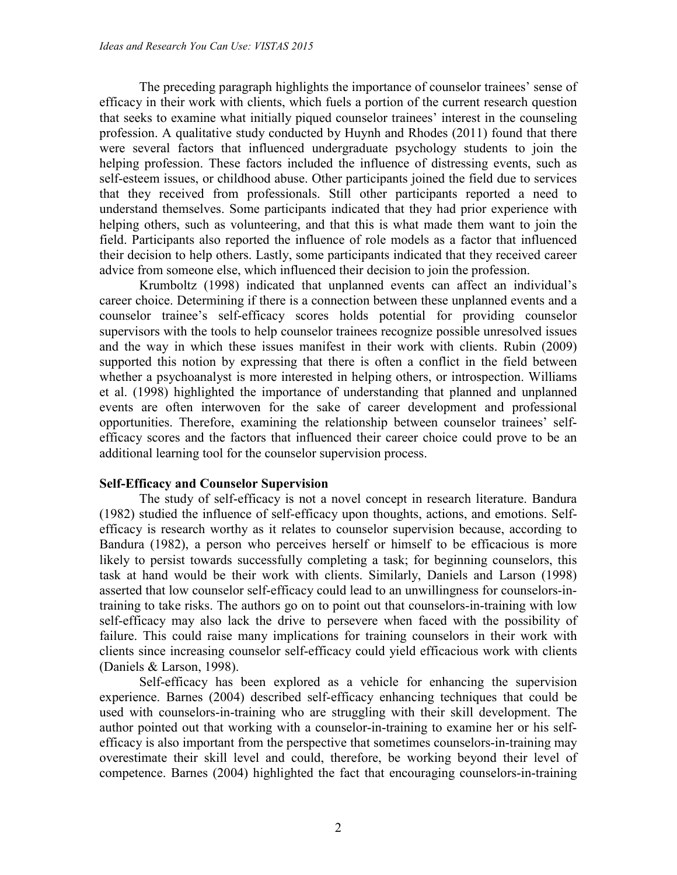The preceding paragraph highlights the importance of counselor trainees' sense of efficacy in their work with clients, which fuels a portion of the current research question that seeks to examine what initially piqued counselor trainees' interest in the counseling profession. A qualitative study conducted by Huynh and Rhodes (2011) found that there were several factors that influenced undergraduate psychology students to join the helping profession. These factors included the influence of distressing events, such as self-esteem issues, or childhood abuse. Other participants joined the field due to services that they received from professionals. Still other participants reported a need to understand themselves. Some participants indicated that they had prior experience with helping others, such as volunteering, and that this is what made them want to join the field. Participants also reported the influence of role models as a factor that influenced their decision to help others. Lastly, some participants indicated that they received career advice from someone else, which influenced their decision to join the profession.

Krumboltz (1998) indicated that unplanned events can affect an individual's career choice. Determining if there is a connection between these unplanned events and a counselor trainee's self-efficacy scores holds potential for providing counselor supervisors with the tools to help counselor trainees recognize possible unresolved issues and the way in which these issues manifest in their work with clients. Rubin (2009) supported this notion by expressing that there is often a conflict in the field between whether a psychoanalyst is more interested in helping others, or introspection. Williams et al. (1998) highlighted the importance of understanding that planned and unplanned events are often interwoven for the sake of career development and professional opportunities. Therefore, examining the relationship between counselor trainees' selfefficacy scores and the factors that influenced their career choice could prove to be an additional learning tool for the counselor supervision process.

## **Self-Efficacy and Counselor Supervision**

The study of self-efficacy is not a novel concept in research literature. Bandura (1982) studied the influence of self-efficacy upon thoughts, actions, and emotions. Selfefficacy is research worthy as it relates to counselor supervision because, according to Bandura (1982), a person who perceives herself or himself to be efficacious is more likely to persist towards successfully completing a task; for beginning counselors, this task at hand would be their work with clients. Similarly, Daniels and Larson (1998) asserted that low counselor self-efficacy could lead to an unwillingness for counselors-intraining to take risks. The authors go on to point out that counselors-in-training with low self-efficacy may also lack the drive to persevere when faced with the possibility of failure. This could raise many implications for training counselors in their work with clients since increasing counselor self-efficacy could yield efficacious work with clients (Daniels & Larson, 1998).

Self-efficacy has been explored as a vehicle for enhancing the supervision experience. Barnes (2004) described self-efficacy enhancing techniques that could be used with counselors-in-training who are struggling with their skill development. The author pointed out that working with a counselor-in-training to examine her or his selfefficacy is also important from the perspective that sometimes counselors-in-training may overestimate their skill level and could, therefore, be working beyond their level of competence. Barnes (2004) highlighted the fact that encouraging counselors-in-training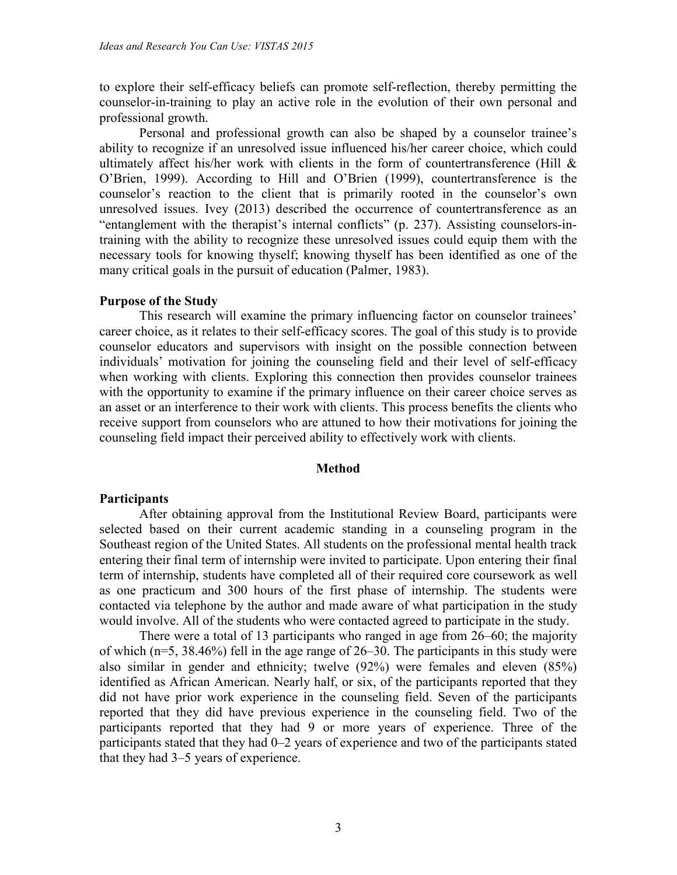to explore their self-efficacy beliefs can promote self-reflection, thereby permitting the counselor-in-training to play an active role in the evolution of their own personal and professional growth.

Personal and professional growth can also be shaped by a counselor trainee's ability to recognize if an unresolved issue influenced his/her career choice, which could ultimately affect his/her work with clients in the form of countertransference (Hill  $\&$ O'Brien, 1999). According to Hill and O'Brien (1999), countertransference is the counselor's reaction to the client that is primarily rooted in the counselor's own unresolved issues. Ivey (2013) described the occurrence of countertransference as an "entanglement with the therapist's internal conflicts" (p. 237). Assisting counselors-intraining with the ability to recognize these unresolved issues could equip them with the necessary tools for knowing thyself; knowing thyself has been identified as one of the many critical goals in the pursuit of education (Palmer, 1983).

#### **Purpose of the Study**

This research will examine the primary influencing factor on counselor trainees' career choice, as it relates to their self-efficacy scores. The goal of this study is to provide counselor educators and supervisors with insight on the possible connection between individuals' motivation for joining the counseling field and their level of self-efficacy when working with clients. Exploring this connection then provides counselor trainees with the opportunity to examine if the primary influence on their career choice serves as an asset or an interference to their work with clients. This process benefits the clients who receive support from counselors who are attuned to how their motivations for joining the counseling field impact their perceived ability to effectively work with clients.

### **Method**

#### **Participants**

After obtaining approval from the Institutional Review Board, participants were selected based on their current academic standing in a counseling program in the Southeast region of the United States. All students on the professional mental health track entering their final term of internship were invited to participate. Upon entering their final term of internship, students have completed all of their required core coursework as well as one practicum and 300 hours of the first phase of internship. The students were contacted via telephone by the author and made aware of what participation in the study would involve. All of the students who were contacted agreed to participate in the study.

There were a total of 13 participants who ranged in age from 26–60; the majority of which (n=5, 38.46%) fell in the age range of 26–30. The participants in this study were also similar in gender and ethnicity; twelve (92%) were females and eleven (85%) identified as African American. Nearly half, or six, of the participants reported that they did not have prior work experience in the counseling field. Seven of the participants reported that they did have previous experience in the counseling field. Two of the participants reported that they had 9 or more years of experience. Three of the participants stated that they had 0–2 years of experience and two of the participants stated that they had 3–5 years of experience.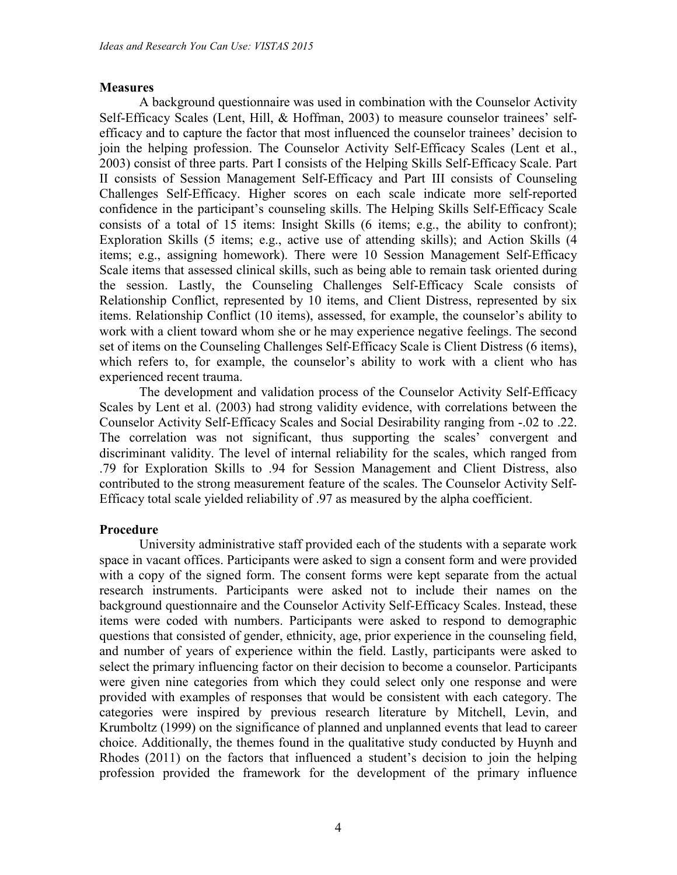## **Measures**

A background questionnaire was used in combination with the Counselor Activity Self-Efficacy Scales (Lent, Hill, & Hoffman, 2003) to measure counselor trainees' selfefficacy and to capture the factor that most influenced the counselor trainees' decision to join the helping profession. The Counselor Activity Self-Efficacy Scales (Lent et al., 2003) consist of three parts. Part I consists of the Helping Skills Self-Efficacy Scale. Part II consists of Session Management Self-Efficacy and Part III consists of Counseling Challenges Self-Efficacy. Higher scores on each scale indicate more self-reported confidence in the participant's counseling skills. The Helping Skills Self-Efficacy Scale consists of a total of 15 items: Insight Skills (6 items; e.g., the ability to confront); Exploration Skills (5 items; e.g., active use of attending skills); and Action Skills (4 items; e.g., assigning homework). There were 10 Session Management Self-Efficacy Scale items that assessed clinical skills, such as being able to remain task oriented during the session. Lastly, the Counseling Challenges Self-Efficacy Scale consists of Relationship Conflict, represented by 10 items, and Client Distress, represented by six items. Relationship Conflict (10 items), assessed, for example, the counselor's ability to work with a client toward whom she or he may experience negative feelings. The second set of items on the Counseling Challenges Self-Efficacy Scale is Client Distress (6 items), which refers to, for example, the counselor's ability to work with a client who has experienced recent trauma.

The development and validation process of the Counselor Activity Self-Efficacy Scales by Lent et al. (2003) had strong validity evidence, with correlations between the Counselor Activity Self-Efficacy Scales and Social Desirability ranging from -.02 to .22. The correlation was not significant, thus supporting the scales' convergent and discriminant validity. The level of internal reliability for the scales, which ranged from .79 for Exploration Skills to .94 for Session Management and Client Distress, also contributed to the strong measurement feature of the scales. The Counselor Activity Self-Efficacy total scale yielded reliability of .97 as measured by the alpha coefficient.

## **Procedure**

University administrative staff provided each of the students with a separate work space in vacant offices. Participants were asked to sign a consent form and were provided with a copy of the signed form. The consent forms were kept separate from the actual research instruments. Participants were asked not to include their names on the background questionnaire and the Counselor Activity Self-Efficacy Scales. Instead, these items were coded with numbers. Participants were asked to respond to demographic questions that consisted of gender, ethnicity, age, prior experience in the counseling field, and number of years of experience within the field. Lastly, participants were asked to select the primary influencing factor on their decision to become a counselor. Participants were given nine categories from which they could select only one response and were provided with examples of responses that would be consistent with each category. The categories were inspired by previous research literature by Mitchell, Levin, and Krumboltz (1999) on the significance of planned and unplanned events that lead to career choice. Additionally, the themes found in the qualitative study conducted by Huynh and Rhodes (2011) on the factors that influenced a student's decision to join the helping profession provided the framework for the development of the primary influence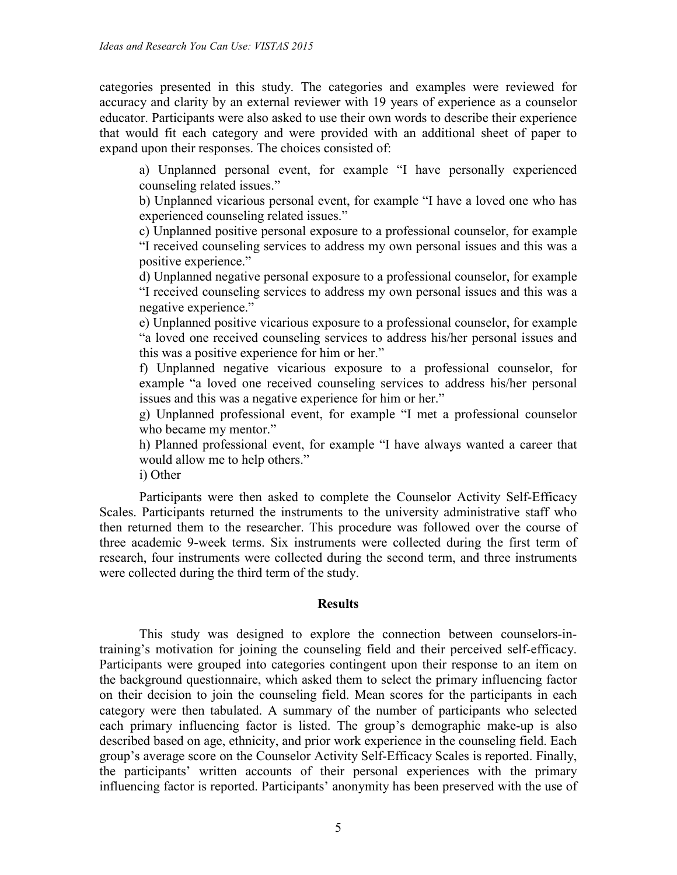categories presented in this study. The categories and examples were reviewed for accuracy and clarity by an external reviewer with 19 years of experience as a counselor educator. Participants were also asked to use their own words to describe their experience that would fit each category and were provided with an additional sheet of paper to expand upon their responses. The choices consisted of:

a) Unplanned personal event, for example "I have personally experienced counseling related issues."

b) Unplanned vicarious personal event, for example "I have a loved one who has experienced counseling related issues."

c) Unplanned positive personal exposure to a professional counselor, for example "I received counseling services to address my own personal issues and this was a positive experience."

d) Unplanned negative personal exposure to a professional counselor, for example "I received counseling services to address my own personal issues and this was a negative experience."

e) Unplanned positive vicarious exposure to a professional counselor, for example "a loved one received counseling services to address his/her personal issues and this was a positive experience for him or her."

f) Unplanned negative vicarious exposure to a professional counselor, for example "a loved one received counseling services to address his/her personal issues and this was a negative experience for him or her."

g) Unplanned professional event, for example "I met a professional counselor who became my mentor."

h) Planned professional event, for example "I have always wanted a career that would allow me to help others."

i) Other

Participants were then asked to complete the Counselor Activity Self-Efficacy Scales. Participants returned the instruments to the university administrative staff who then returned them to the researcher. This procedure was followed over the course of three academic 9-week terms. Six instruments were collected during the first term of research, four instruments were collected during the second term, and three instruments were collected during the third term of the study.

#### **Results**

This study was designed to explore the connection between counselors-intraining's motivation for joining the counseling field and their perceived self-efficacy. Participants were grouped into categories contingent upon their response to an item on the background questionnaire, which asked them to select the primary influencing factor on their decision to join the counseling field. Mean scores for the participants in each category were then tabulated. A summary of the number of participants who selected each primary influencing factor is listed. The group's demographic make-up is also described based on age, ethnicity, and prior work experience in the counseling field. Each group's average score on the Counselor Activity Self-Efficacy Scales is reported. Finally, the participants' written accounts of their personal experiences with the primary influencing factor is reported. Participants' anonymity has been preserved with the use of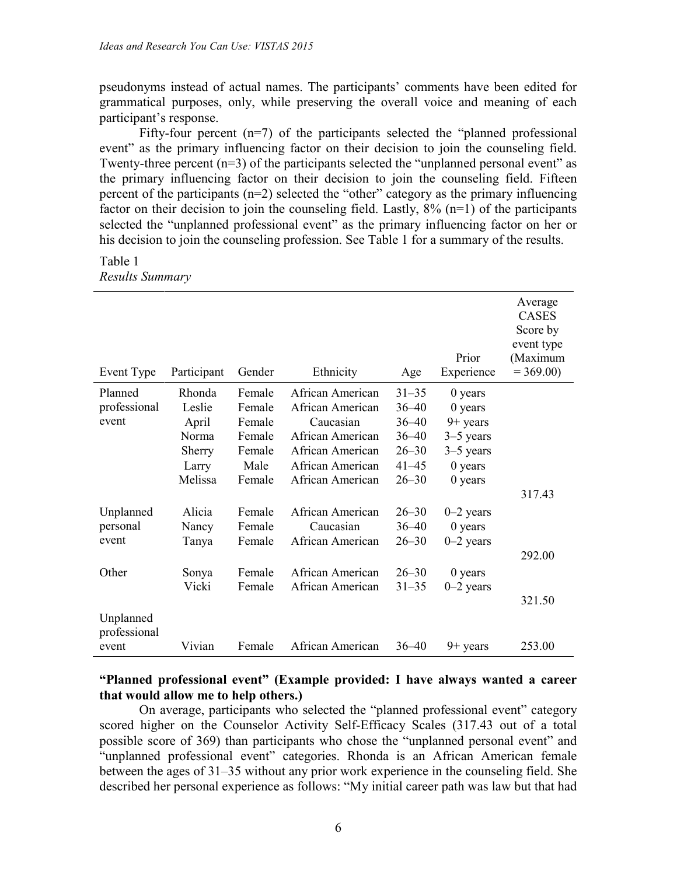pseudonyms instead of actual names. The participants' comments have been edited for grammatical purposes, only, while preserving the overall voice and meaning of each participant's response.

Fifty-four percent  $(n=7)$  of the participants selected the "planned professional" event" as the primary influencing factor on their decision to join the counseling field. Twenty-three percent  $(n=3)$  of the participants selected the "unplanned personal event" as the primary influencing factor on their decision to join the counseling field. Fifteen percent of the participants (n=2) selected the "other" category as the primary influencing factor on their decision to join the counseling field. Lastly,  $8\%$  (n=1) of the participants selected the "unplanned professional event" as the primary influencing factor on her or his decision to join the counseling profession. See Table 1 for a summary of the results.

#### Table 1 *Results Summary*

| Event Type                | Participant | Gender | Ethnicity        | Age       | Prior<br>Experience | Average<br><b>CASES</b><br>Score by<br>event type<br>(Maximum<br>$= 369.00$ |
|---------------------------|-------------|--------|------------------|-----------|---------------------|-----------------------------------------------------------------------------|
| Planned                   | Rhonda      | Female | African American | $31 - 35$ | 0 years             |                                                                             |
| professional              | Leslie      | Female | African American | $36 - 40$ | $0$ years           |                                                                             |
| event                     | April       | Female | Caucasian        | $36 - 40$ | $9+$ years          |                                                                             |
|                           | Norma       | Female | African American | $36 - 40$ | $3-5$ years         |                                                                             |
|                           | Sherry      | Female | African American | $26 - 30$ | $3-5$ years         |                                                                             |
|                           | Larry       | Male   | African American | $41 - 45$ | $0$ years           |                                                                             |
|                           | Melissa     | Female | African American | $26 - 30$ | 0 years             |                                                                             |
|                           |             |        |                  |           |                     | 317.43                                                                      |
| Unplanned                 | Alicia      | Female | African American | $26 - 30$ | $0-2$ years         |                                                                             |
| personal                  | Nancy       | Female | Caucasian        | $36 - 40$ | $0$ years           |                                                                             |
| event                     | Tanya       | Female | African American | $26 - 30$ | $0-2$ years         |                                                                             |
|                           |             |        |                  |           |                     | 292.00                                                                      |
| Other                     | Sonya       | Female | African American | $26 - 30$ | $0$ years           |                                                                             |
|                           | Vicki       | Female | African American | $31 - 35$ | $0-2$ years         |                                                                             |
|                           |             |        |                  |           |                     | 321.50                                                                      |
| Unplanned<br>professional |             |        |                  |           |                     |                                                                             |
| event                     | Vivian      | Female | African American | $36 - 40$ | $9+$ years          | 253.00                                                                      |

### **"Planned professional event" (Example provided: I have always wanted a career that would allow me to help others.)**

On average, participants who selected the "planned professional event" category scored higher on the Counselor Activity Self-Efficacy Scales (317.43 out of a total possible score of 369) than participants who chose the "unplanned personal event" and "unplanned professional event" categories. Rhonda is an African American female between the ages of 31–35 without any prior work experience in the counseling field. She described her personal experience as follows: "My initial career path was law but that had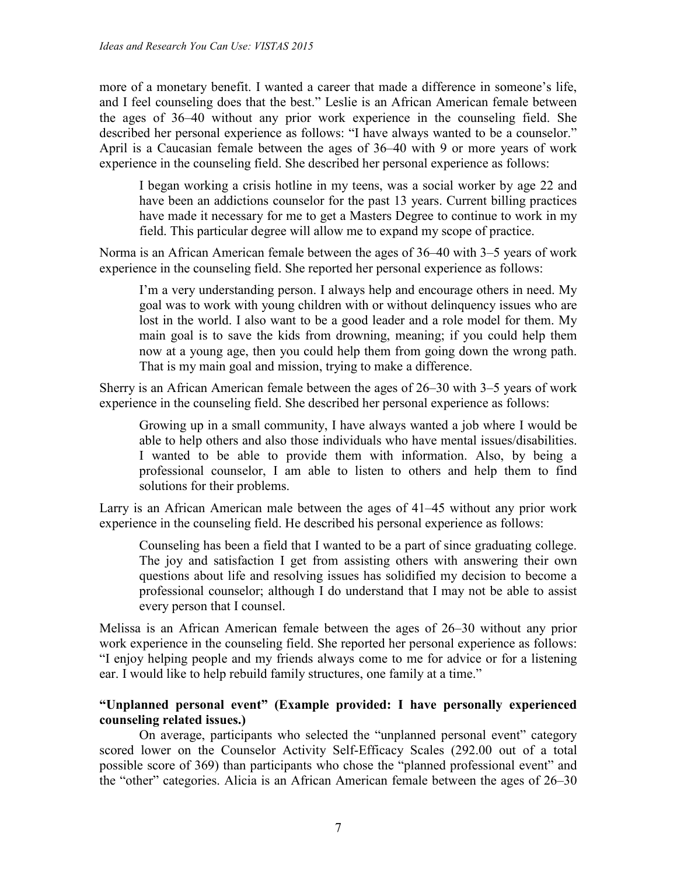more of a monetary benefit. I wanted a career that made a difference in someone's life, and I feel counseling does that the best." Leslie is an African American female between the ages of 36–40 without any prior work experience in the counseling field. She described her personal experience as follows: "I have always wanted to be a counselor." April is a Caucasian female between the ages of 36–40 with 9 or more years of work experience in the counseling field. She described her personal experience as follows:

I began working a crisis hotline in my teens, was a social worker by age 22 and have been an addictions counselor for the past 13 years. Current billing practices have made it necessary for me to get a Masters Degree to continue to work in my field. This particular degree will allow me to expand my scope of practice.

Norma is an African American female between the ages of 36–40 with 3–5 years of work experience in the counseling field. She reported her personal experience as follows:

I'm a very understanding person. I always help and encourage others in need. My goal was to work with young children with or without delinquency issues who are lost in the world. I also want to be a good leader and a role model for them. My main goal is to save the kids from drowning, meaning; if you could help them now at a young age, then you could help them from going down the wrong path. That is my main goal and mission, trying to make a difference.

Sherry is an African American female between the ages of 26–30 with 3–5 years of work experience in the counseling field. She described her personal experience as follows:

Growing up in a small community, I have always wanted a job where I would be able to help others and also those individuals who have mental issues/disabilities. I wanted to be able to provide them with information. Also, by being a professional counselor, I am able to listen to others and help them to find solutions for their problems.

Larry is an African American male between the ages of 41–45 without any prior work experience in the counseling field. He described his personal experience as follows:

Counseling has been a field that I wanted to be a part of since graduating college. The joy and satisfaction I get from assisting others with answering their own questions about life and resolving issues has solidified my decision to become a professional counselor; although I do understand that I may not be able to assist every person that I counsel.

Melissa is an African American female between the ages of 26–30 without any prior work experience in the counseling field. She reported her personal experience as follows: "I enjoy helping people and my friends always come to me for advice or for a listening ear. I would like to help rebuild family structures, one family at a time."

## **"Unplanned personal event" (Example provided: I have personally experienced counseling related issues.)**

On average, participants who selected the "unplanned personal event" category scored lower on the Counselor Activity Self-Efficacy Scales (292.00 out of a total possible score of 369) than participants who chose the "planned professional event" and the "other" categories. Alicia is an African American female between the ages of 26–30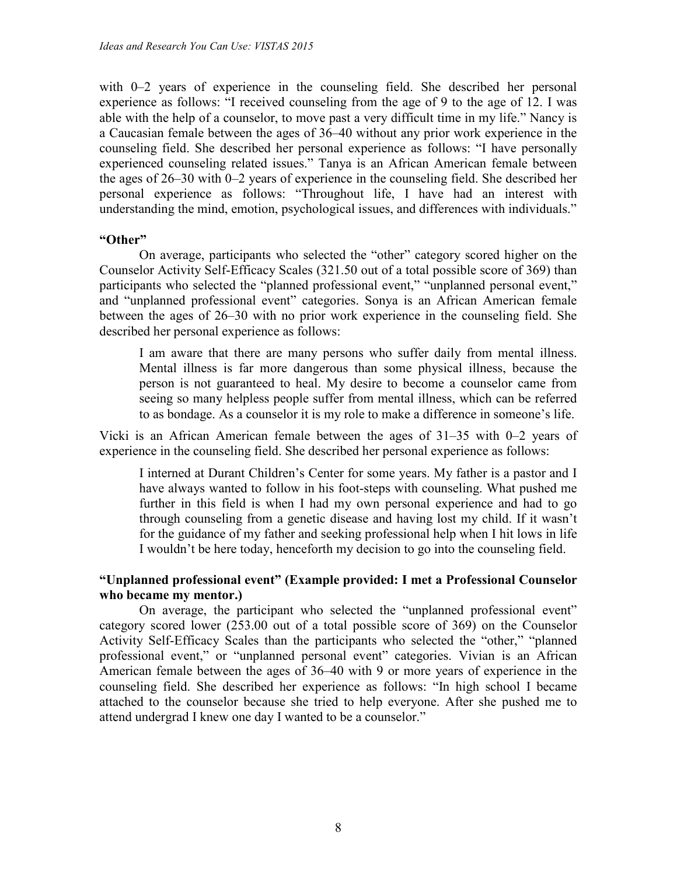with 0–2 years of experience in the counseling field. She described her personal experience as follows: "I received counseling from the age of 9 to the age of 12. I was able with the help of a counselor, to move past a very difficult time in my life." Nancy is a Caucasian female between the ages of 36–40 without any prior work experience in the counseling field. She described her personal experience as follows: "I have personally experienced counseling related issues." Tanya is an African American female between the ages of 26–30 with 0–2 years of experience in the counseling field. She described her personal experience as follows: "Throughout life, I have had an interest with understanding the mind, emotion, psychological issues, and differences with individuals."

### **"Other"**

On average, participants who selected the "other" category scored higher on the Counselor Activity Self-Efficacy Scales (321.50 out of a total possible score of 369) than participants who selected the "planned professional event," "unplanned personal event," and "unplanned professional event" categories. Sonya is an African American female between the ages of 26–30 with no prior work experience in the counseling field. She described her personal experience as follows:

I am aware that there are many persons who suffer daily from mental illness. Mental illness is far more dangerous than some physical illness, because the person is not guaranteed to heal. My desire to become a counselor came from seeing so many helpless people suffer from mental illness, which can be referred to as bondage. As a counselor it is my role to make a difference in someone's life.

Vicki is an African American female between the ages of 31–35 with 0–2 years of experience in the counseling field. She described her personal experience as follows:

I interned at Durant Children's Center for some years. My father is a pastor and I have always wanted to follow in his foot-steps with counseling. What pushed me further in this field is when I had my own personal experience and had to go through counseling from a genetic disease and having lost my child. If it wasn't for the guidance of my father and seeking professional help when I hit lows in life I wouldn't be here today, henceforth my decision to go into the counseling field.

## **"Unplanned professional event" (Example provided: I met a Professional Counselor who became my mentor.)**

On average, the participant who selected the "unplanned professional event" category scored lower (253.00 out of a total possible score of 369) on the Counselor Activity Self-Efficacy Scales than the participants who selected the "other," "planned professional event," or "unplanned personal event" categories. Vivian is an African American female between the ages of 36–40 with 9 or more years of experience in the counseling field. She described her experience as follows: "In high school I became attached to the counselor because she tried to help everyone. After she pushed me to attend undergrad I knew one day I wanted to be a counselor."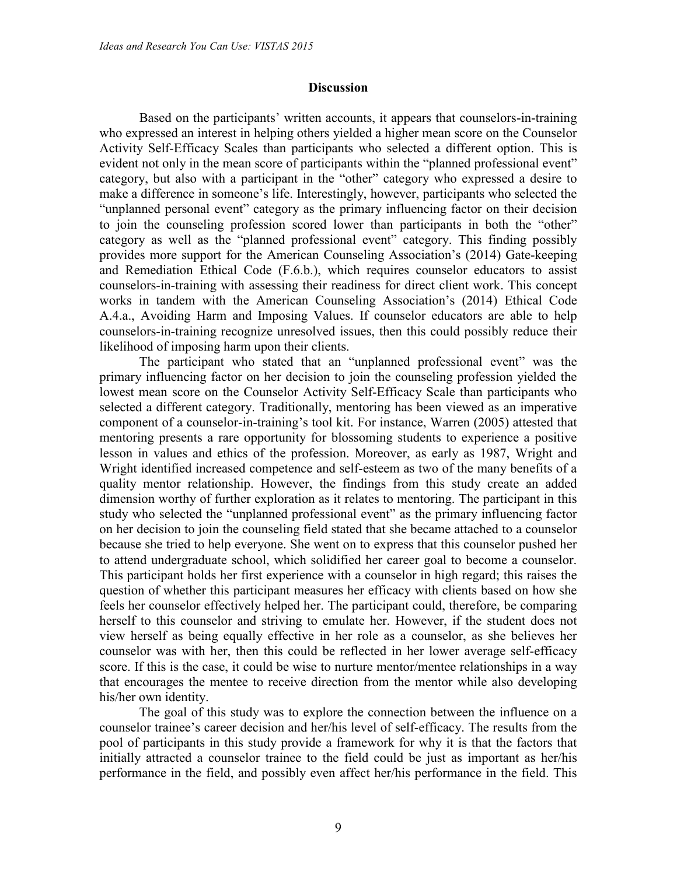#### **Discussion**

Based on the participants' written accounts, it appears that counselors-in-training who expressed an interest in helping others yielded a higher mean score on the Counselor Activity Self-Efficacy Scales than participants who selected a different option. This is evident not only in the mean score of participants within the "planned professional event" category, but also with a participant in the "other" category who expressed a desire to make a difference in someone's life. Interestingly, however, participants who selected the "unplanned personal event" category as the primary influencing factor on their decision to join the counseling profession scored lower than participants in both the "other" category as well as the "planned professional event" category. This finding possibly provides more support for the American Counseling Association's (2014) Gate-keeping and Remediation Ethical Code (F.6.b.), which requires counselor educators to assist counselors-in-training with assessing their readiness for direct client work. This concept works in tandem with the American Counseling Association's (2014) Ethical Code A.4.a., Avoiding Harm and Imposing Values. If counselor educators are able to help counselors-in-training recognize unresolved issues, then this could possibly reduce their likelihood of imposing harm upon their clients.

The participant who stated that an "unplanned professional event" was the primary influencing factor on her decision to join the counseling profession yielded the lowest mean score on the Counselor Activity Self-Efficacy Scale than participants who selected a different category. Traditionally, mentoring has been viewed as an imperative component of a counselor-in-training's tool kit. For instance, Warren (2005) attested that mentoring presents a rare opportunity for blossoming students to experience a positive lesson in values and ethics of the profession. Moreover, as early as 1987, Wright and Wright identified increased competence and self-esteem as two of the many benefits of a quality mentor relationship. However, the findings from this study create an added dimension worthy of further exploration as it relates to mentoring. The participant in this study who selected the "unplanned professional event" as the primary influencing factor on her decision to join the counseling field stated that she became attached to a counselor because she tried to help everyone. She went on to express that this counselor pushed her to attend undergraduate school, which solidified her career goal to become a counselor. This participant holds her first experience with a counselor in high regard; this raises the question of whether this participant measures her efficacy with clients based on how she feels her counselor effectively helped her. The participant could, therefore, be comparing herself to this counselor and striving to emulate her. However, if the student does not view herself as being equally effective in her role as a counselor, as she believes her counselor was with her, then this could be reflected in her lower average self-efficacy score. If this is the case, it could be wise to nurture mentor/mentee relationships in a way that encourages the mentee to receive direction from the mentor while also developing his/her own identity.

The goal of this study was to explore the connection between the influence on a counselor trainee's career decision and her/his level of self-efficacy. The results from the pool of participants in this study provide a framework for why it is that the factors that initially attracted a counselor trainee to the field could be just as important as her/his performance in the field, and possibly even affect her/his performance in the field. This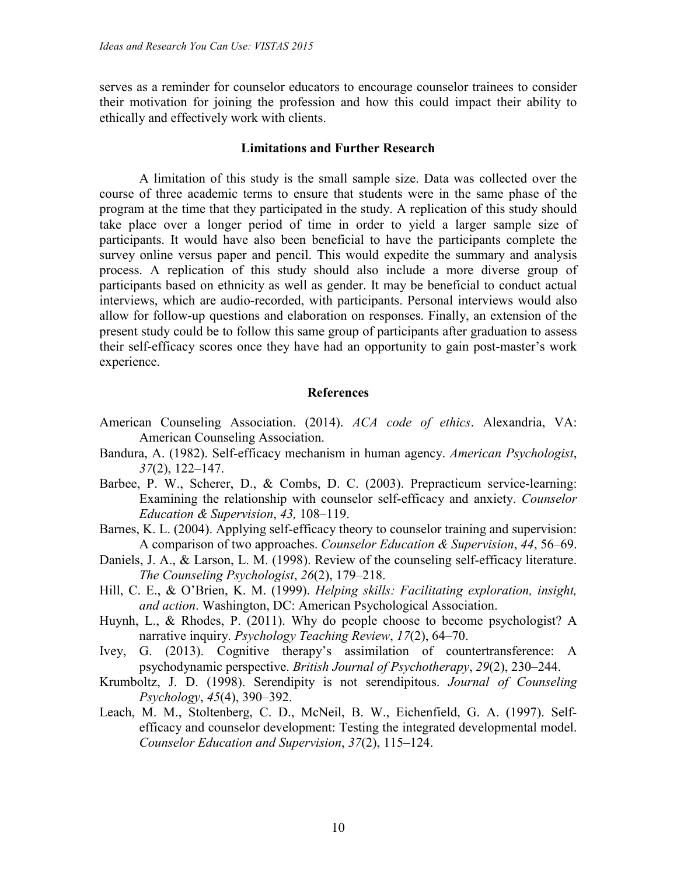serves as a reminder for counselor educators to encourage counselor trainees to consider their motivation for joining the profession and how this could impact their ability to ethically and effectively work with clients.

#### **Limitations and Further Research**

A limitation of this study is the small sample size. Data was collected over the course of three academic terms to ensure that students were in the same phase of the program at the time that they participated in the study. A replication of this study should take place over a longer period of time in order to yield a larger sample size of participants. It would have also been beneficial to have the participants complete the survey online versus paper and pencil. This would expedite the summary and analysis process. A replication of this study should also include a more diverse group of participants based on ethnicity as well as gender. It may be beneficial to conduct actual interviews, which are audio-recorded, with participants. Personal interviews would also allow for follow-up questions and elaboration on responses. Finally, an extension of the present study could be to follow this same group of participants after graduation to assess their self-efficacy scores once they have had an opportunity to gain post-master's work experience.

## **References**

- American Counseling Association. (2014). *ACA code of ethics*. Alexandria, VA: American Counseling Association.
- Bandura, A. (1982). Self-efficacy mechanism in human agency. *American Psychologist*, *37*(2), 122–147.
- Barbee, P. W., Scherer, D., & Combs, D. C. (2003). Prepracticum service-learning: Examining the relationship with counselor self-efficacy and anxiety. *Counselor Education & Supervision*, *43,* 108–119.
- Barnes, K. L. (2004). Applying self-efficacy theory to counselor training and supervision: A comparison of two approaches. *Counselor Education & Supervision*, *44*, 56–69.
- Daniels, J. A., & Larson, L. M. (1998). Review of the counseling self-efficacy literature. *The Counseling Psychologist*, *26*(2), 179–218.
- Hill, C. E., & O'Brien, K. M. (1999). *Helping skills: Facilitating exploration, insight, and action*. Washington, DC: American Psychological Association.
- Huynh, L., & Rhodes, P. (2011). Why do people choose to become psychologist? A narrative inquiry. *Psychology Teaching Review*, *17*(2), 64–70.
- Ivey, G. (2013). Cognitive therapy's assimilation of countertransference: A psychodynamic perspective. *British Journal of Psychotherapy*, *29*(2), 230–244.
- Krumboltz, J. D. (1998). Serendipity is not serendipitous. *Journal of Counseling Psychology*, *45*(4), 390–392.
- Leach, M. M., Stoltenberg, C. D., McNeil, B. W., Eichenfield, G. A. (1997). Selfefficacy and counselor development: Testing the integrated developmental model. *Counselor Education and Supervision*, *37*(2), 115–124.